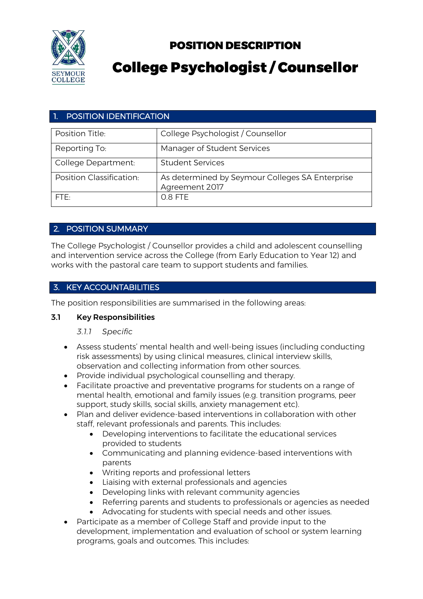

# POSITION DESCRIPTION

# College Psychologist / Counsellor

# **POSITION IDENTIFICATION**

| Position Title:          | College Psychologist / Counsellor                                 |
|--------------------------|-------------------------------------------------------------------|
| Reporting To:            | Manager of Student Services                                       |
| College Department:      | <b>Student Services</b>                                           |
| Position Classification: | As determined by Seymour Colleges SA Enterprise<br>Agreement 2017 |
| FTF:                     | 0.8 FTE                                                           |

# 2. POSITION SUMMARY

The College Psychologist / Counsellor provides a child and adolescent counselling and intervention service across the College (from Early Education to Year 12) and works with the pastoral care team to support students and families.

# 3. KEY ACCOUNTABILITIES

The position responsibilities are summarised in the following areas:

## 3.1 Key Responsibilities

## *3.1.1 Specific*

- Assess students' mental health and well-being issues (including conducting risk assessments) by using clinical measures, clinical interview skills, observation and collecting information from other sources.
- Provide individual psychological counselling and therapy.
- Facilitate proactive and preventative programs for students on a range of mental health, emotional and family issues (e.g. transition programs, peer support, study skills, social skills, anxiety management etc).
- Plan and deliver evidence-based interventions in collaboration with other staff, relevant professionals and parents. This includes:
	- Developing interventions to facilitate the educational services provided to students
	- Communicating and planning evidence-based interventions with parents
	- Writing reports and professional letters
	- Liaising with external professionals and agencies
	- Developing links with relevant community agencies
	- Referring parents and students to professionals or agencies as needed
	- Advocating for students with special needs and other issues.
- Participate as a member of College Staff and provide input to the development, implementation and evaluation of school or system learning programs, goals and outcomes. This includes: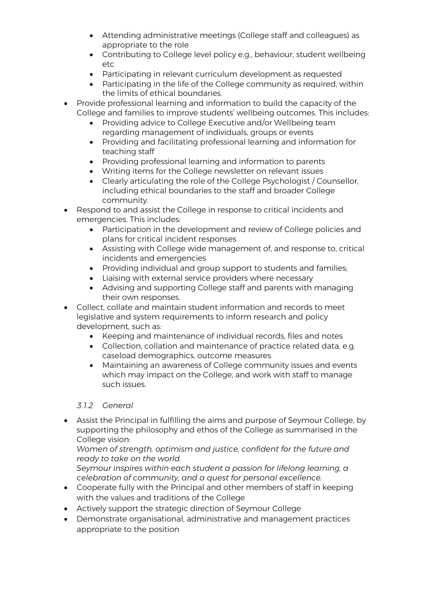- Attending administrative meetings (College staff and colleagues) as appropriate to the role
- Contributing to College level policy e.g., behaviour, student wellbeing etc
- Participating in relevant curriculum development as requested
- Participating in the life of the College community as required, within the limits of ethical boundaries.
- Provide professional learning and information to build the capacity of the College and families to improve students' wellbeing outcomes. This includes:
	- Providing advice to College Executive and/or Wellbeing team regarding management of individuals, groups or events
	- Providing and facilitating professional learning and information for teaching staff
	- Providing professional learning and information to parents
	- Writing items for the College newsletter on relevant issues
	- Clearly articulating the role of the College Psychologist / Counsellor, including ethical boundaries to the staff and broader College community.
- Respond to and assist the College in response to critical incidents and emergencies. This includes:
	- Participation in the development and review of College policies and plans for critical incident responses
	- Assisting with College wide management of, and response to, critical incidents and emergencies
	- Providing individual and group support to students and families;
	- Liaising with external service providers where necessary
	- Advising and supporting College staff and parents with managing their own responses.
- Collect, collate and maintain student information and records to meet legislative and system requirements to inform research and policy development, such as:
	- Keeping and maintenance of individual records, files and notes
	- Collection, collation and maintenance of practice related data, e.g. caseload demographics, outcome measures
	- Maintaining an awareness of College community issues and events which may impact on the College, and work with staff to manage such issues.

## *3.1.2 General*

• Assist the Principal in fulfilling the aims and purpose of Seymour College, by supporting the philosophy and ethos of the College as summarised in the College vision:

*Women of strength, optimism and justice, confident for the future and ready to take on the world.*

*Seymour inspires within each student a passion for lifelong learning, a celebration of community, and a quest for personal excellence.*

- Cooperate fully with the Principal and other members of staff in keeping with the values and traditions of the College
- Actively support the strategic direction of Seymour College
- Demonstrate organisational, administrative and management practices appropriate to the position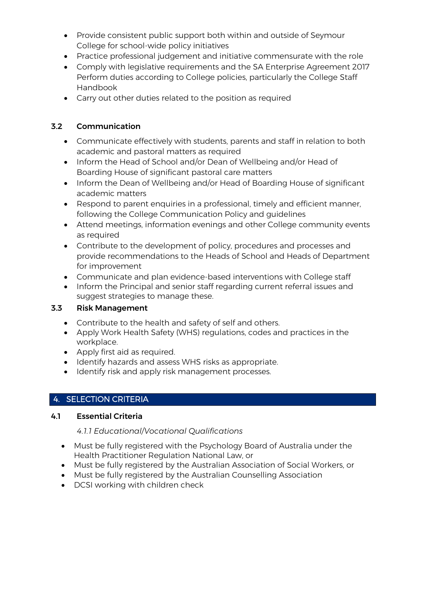- Provide consistent public support both within and outside of Seymour College for school-wide policy initiatives
- Practice professional judgement and initiative commensurate with the role
- Comply with legislative requirements and the SA Enterprise Agreement 2017 Perform duties according to College policies, particularly the College Staff Handbook
- Carry out other duties related to the position as required

# 3.2 Communication

- Communicate effectively with students, parents and staff in relation to both academic and pastoral matters as required
- Inform the Head of School and/or Dean of Wellbeing and/or Head of Boarding House of significant pastoral care matters
- Inform the Dean of Wellbeing and/or Head of Boarding House of significant academic matters
- Respond to parent enquiries in a professional, timely and efficient manner, following the College Communication Policy and guidelines
- Attend meetings, information evenings and other College community events as required
- Contribute to the development of policy, procedures and processes and provide recommendations to the Heads of School and Heads of Department for improvement
- Communicate and plan evidence-based interventions with College staff
- Inform the Principal and senior staff regarding current referral issues and suggest strategies to manage these.

# 3.3 Risk Management

- Contribute to the health and safety of self and others.
- Apply Work Health Safety (WHS) regulations, codes and practices in the workplace.
- Apply first aid as required.
- Identify hazards and assess WHS risks as appropriate.
- Identify risk and apply risk management processes.

# 4. SELECTION CRITERIA

## 4.1 Essential Criteria

## *4.1.1 Educational/Vocational Qualifications*

- Must be fully registered with the Psychology Board of Australia under the Health Practitioner Regulation National Law, or
- Must be fully registered by the Australian Association of Social Workers, or
- Must be fully registered by the Australian Counselling Association
- DCSI working with children check